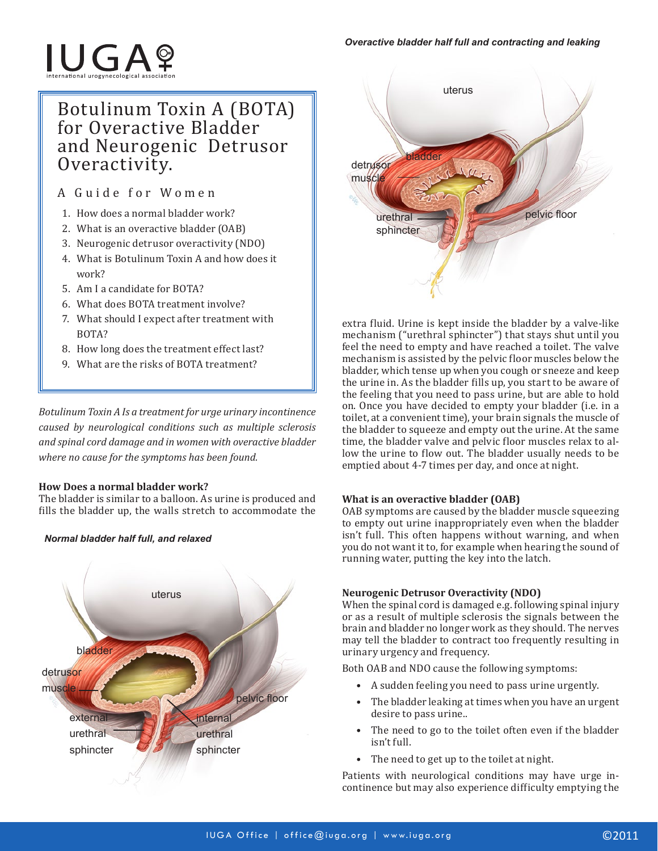# **IUGAº**

# Botulinum Toxin A (BOTA) for Overactive Bladder and Neurogenic Detrusor Overactivity.

A Guide for Women

- 1. How does a normal bladder work?
- 2. What is an overactive bladder (OAB)
- 3. Neurogenic detrusor overactivity (NDO)
- 4. What is Botulinum Toxin A and how does it work?
- 5. Am I a candidate for BOTA?
- 6. What does BOTA treatment involve?
- 7. What should I expect after treatment with BOTA?
- 8. How long does the treatment effect last?
- 9. What are the risks of BOTA treatment?

*Botulinum Toxin A Is a treatment for urge urinary incontinence caused by neurological conditions such as multiple sclerosis and spinal cord damage and in women with overactive bladder where no cause for the symptoms has been found.*

# **How Does a normal bladder work?**

The bladder is similar to a balloon. As urine is produced and fills the bladder up, the walls stretch to accommodate the



### *Normal bladder half full, and relaxed*



extra fluid. Urine is kept inside the bladder by a valve-like mechanism ("urethral sphincter") that stays shut until you feel the need to empty and have reached a toilet. The valve mechanism is assisted by the pelvic floor muscles below the bladder, which tense up when you cough or sneeze and keep the urine in. As the bladder fills up, you start to be aware of the feeling that you need to pass urine, but are able to hold on. Once you have decided to empty your bladder (i.e. in a toilet, at a convenient time), your brain signals the muscle of the bladder to squeeze and empty out the urine. At the same time, the bladder valve and pelvic floor muscles relax to allow the urine to flow out. The bladder usually needs to be emptied about 4-7 times per day, and once at night.

# **What is an overactive bladder (OAB)**

OAB symptoms are caused by the bladder muscle squeezing to empty out urine inappropriately even when the bladder isn't full. This often happens without warning, and when you do not want it to, for example when hearing the sound of running water, putting the key into the latch.

# **Neurogenic Detrusor Overactivity (NDO)**

When the spinal cord is damaged e.g. following spinal injury or as a result of multiple sclerosis the signals between the brain and bladder no longer work as they should. The nerves may tell the bladder to contract too frequently resulting in urinary urgency and frequency.

Both OAB and NDO cause the following symptoms:

- A sudden feeling you need to pass urine urgently.
- The bladder leaking at times when you have an urgent desire to pass urine..
- The need to go to the toilet often even if the bladder isn't full.
- The need to get up to the toilet at night.

Patients with neurological conditions may have urge incontinence but may also experience difficulty emptying the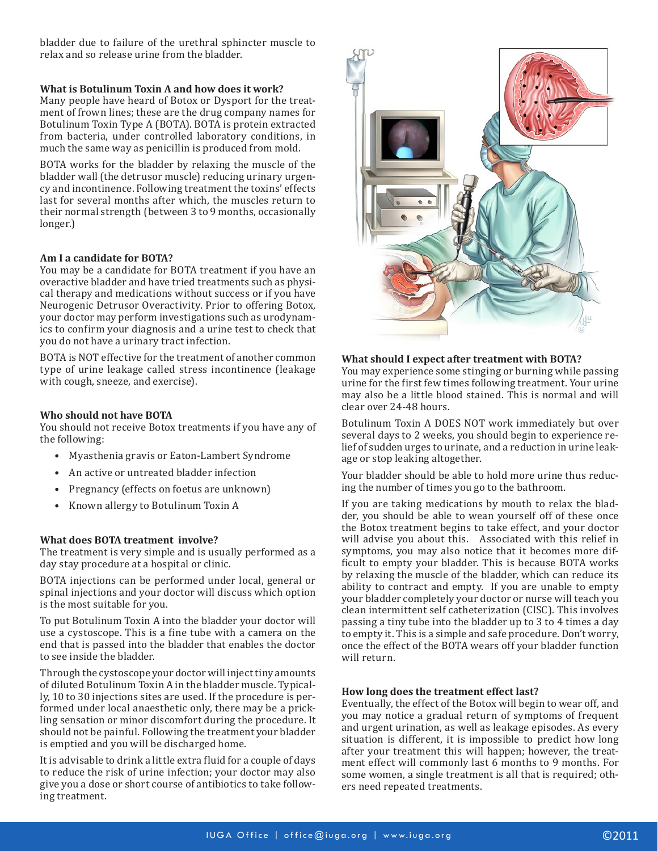bladder due to failure of the urethral sphincter muscle to relax and so release urine from the bladder.

#### **What is Botulinum Toxin A and how does it work?**

Many people have heard of Botox or Dysport for the treatment of frown lines; these are the drug company names for Botulinum Toxin Type A (BOTA). BOTA is protein extracted from bacteria, under controlled laboratory conditions, in much the same way as penicillin is produced from mold.

BOTA works for the bladder by relaxing the muscle of the bladder wall (the detrusor muscle) reducing urinary urgency and incontinence. Following treatment the toxins' effects last for several months after which, the muscles return to their normal strength (between 3 to 9 months, occasionally longer.)

#### **Am I a candidate for BOTA?**

You may be a candidate for BOTA treatment if you have an overactive bladder and have tried treatments such as physical therapy and medications without success or if you have Neurogenic Detrusor Overactivity. Prior to offering Botox, your doctor may perform investigations such as urodynamics to confirm your diagnosis and a urine test to check that you do not have a urinary tract infection.

BOTA is NOT effective for the treatment of another common type of urine leakage called stress incontinence (leakage with cough, sneeze, and exercise).

#### **Who should not have BOTA**

You should not receive Botox treatments if you have any of the following:

- Myasthenia gravis or Eaton-Lambert Syndrome
- An active or untreated bladder infection
- Pregnancy (effects on foetus are unknown)
- Known allergy to Botulinum Toxin A

#### **What does BOTA treatment involve?**

The treatment is very simple and is usually performed as a day stay procedure at a hospital or clinic.

BOTA injections can be performed under local, general or spinal injections and your doctor will discuss which option is the most suitable for you.

To put Botulinum Toxin A into the bladder your doctor will use a cystoscope. This is a fine tube with a camera on the end that is passed into the bladder that enables the doctor to see inside the bladder.

Through the cystoscope your doctor will inject tiny amounts of diluted Botulinum Toxin A in the bladder muscle. Typically, 10 to 30 injections sites are used. If the procedure is performed under local anaesthetic only, there may be a prickling sensation or minor discomfort during the procedure. It should not be painful. Following the treatment your bladder is emptied and you will be discharged home.

It is advisable to drink a little extra fluid for a couple of days to reduce the risk of urine infection; your doctor may also give you a dose or short course of antibiotics to take following treatment.



#### **What should I expect after treatment with BOTA?**

You may experience some stinging or burning while passing urine for the first few times following treatment. Your urine may also be a little blood stained. This is normal and will clear over 24-48 hours.

Botulinum Toxin A DOES NOT work immediately but over several days to 2 weeks, you should begin to experience relief of sudden urges to urinate, and a reduction in urine leakage or stop leaking altogether.

Your bladder should be able to hold more urine thus reducing the number of times you go to the bathroom.

If you are taking medications by mouth to relax the bladder, you should be able to wean yourself off of these once the Botox treatment begins to take effect, and your doctor will advise you about this. Associated with this relief in symptoms, you may also notice that it becomes more difficult to empty your bladder. This is because BOTA works by relaxing the muscle of the bladder, which can reduce its ability to contract and empty. If you are unable to empty your bladder completely your doctor or nurse will teach you clean intermittent self catheterization (CISC). This involves passing a tiny tube into the bladder up to 3 to 4 times a day to empty it. This is a simple and safe procedure. Don't worry, once the effect of the BOTA wears off your bladder function will return.

#### **How long does the treatment effect last?**

Eventually, the effect of the Botox will begin to wear off, and you may notice a gradual return of symptoms of frequent and urgent urination, as well as leakage episodes. As every situation is different, it is impossible to predict how long after your treatment this will happen; however, the treatment effect will commonly last 6 months to 9 months. For some women, a single treatment is all that is required; others need repeated treatments.